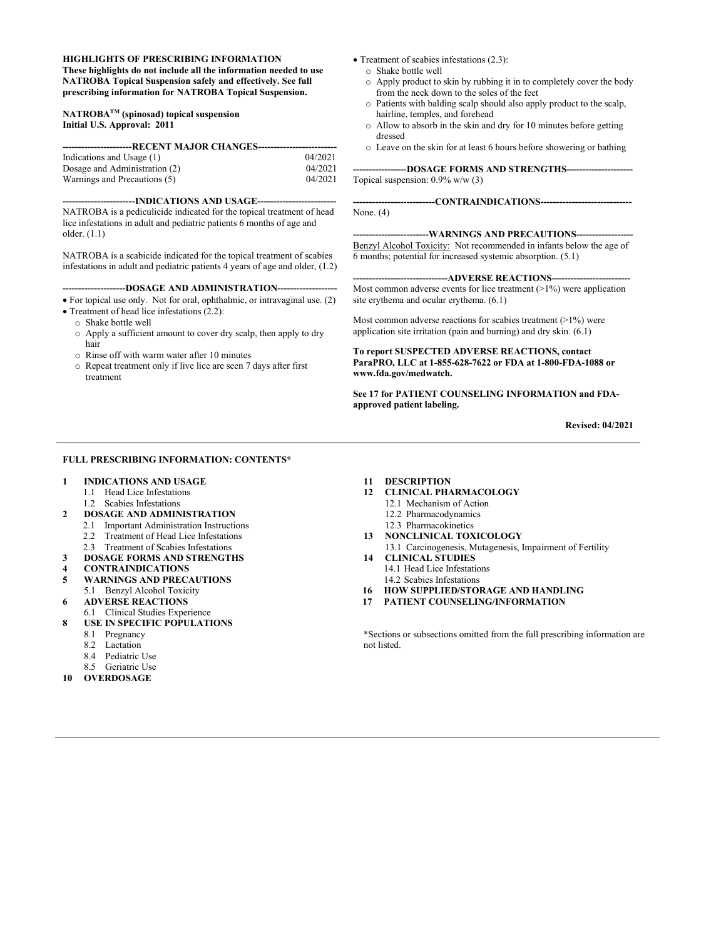#### **HIGHLIGHTS OF PRESCRIBING INFORMATION**

**These highlights do not include all the information needed to use NATROBA Topical Suspension safely and effectively. See full prescribing information for NATROBA Topical Suspension.**

#### **NATROBATM (spinosad) topical suspension Initial U.S. Approval: 2011**

| ----------------RECENT MAJOR CHANGES------- |         |  |  |  |
|---------------------------------------------|---------|--|--|--|
| Indications and Usage (1)                   | 04/2021 |  |  |  |
| Dosage and Administration (2)               | 04/2021 |  |  |  |
| Warnings and Precautions (5)                | 04/2021 |  |  |  |

#### **-----------------------INDICATIONS AND USAGE-------------------------**

NATROBA is a pediculicide indicated for the topical treatment of head lice infestations in adult and pediatric patients 6 months of age and older. (1.1)

NATROBA is a scabicide indicated for the topical treatment of scabies infestations in adult and pediatric patients 4 years of age and older,  $(1.2)$ 

#### ---DOSAGE AND ADMINISTRATION--

• For topical use only. Not for oral, ophthalmic, or intravaginal use. (2)

- Treatment of head lice infestations (2.2):
	- o Shake bottle well
	- o Apply a sufficient amount to cover dry scalp, then apply to dry hair
	- o Rinse off with warm water after 10 minutes
	- o Repeat treatment only if live lice are seen 7 days after first treatment
- Treatment of scabies infestations (2.3):
	- o Shake bottle well
	- o Apply product to skin by rubbing it in to completely cover the body from the neck down to the soles of the feet
	- o Patients with balding scalp should also apply product to the scalp, hairline, temples, and forehead
	- o Allow to absorb in the skin and dry for 10 minutes before getting dressed
	- o Leave on the skin for at least 6 hours before showering or bathing

**-----------------DOSAGE FORMS AND STRENGTHS---------------------** Topical suspension: 0.9% w/w (3)

**--------------------------CONTRAINDICATIONS-----------------------------** None. (4)

#### **------------------------WARNINGS AND PRECAUTIONS------------------**

Benzyl Alcohol Toxicity: Not recommended in infants below the age of 6 months; potential for increased systemic absorption. (5.1)

---ADVERSE REACTIONS-----Most common adverse events for lice treatment  $(>1%)$  were application site erythema and ocular erythema. (6.1)

Most common adverse reactions for scabies treatment  $(>1%)$  were application site irritation (pain and burning) and dry skin. (6.1)

**To report SUSPECTED ADVERSE REACTIONS, contact ParaPRO, LLC at 1-855-628-7622 or FDA at 1-800-FDA-1088 or www.fda.gov/medwatch.**

**See 17 for PATIENT COUNSELING INFORMATION and FDAapproved patient labeling.**

**Revised: 04/2021**

#### **FULL PRESCRIBING INFORMATION: CONTENTS\***

- **1 INDICATIONS AND USAGE**
	- 1.1 Head Lice Infestations
- 1.2 Scabies Infestations
- **2 DOSAGE AND ADMINISTRATION**
	- 2.1 Important Administration Instructions
	- 2.2 Treatment of Head Lice Infestations
- 2.3 Treatment of Scabies Infestations
- **3 DOSAGE FORMS AND STRENGTHS**
- **4 CONTRAINDICATIONS**
- **5 WARNINGS AND PRECAUTIONS**
- 5.1 Benzyl Alcohol Toxicity
- **6 ADVERSE REACTIONS**
- 6.1 Clinical Studies Experience
- **8 USE IN SPECIFIC POPULATIONS**
	- 8.1 Pregnancy<br>8.2 Lactation
	- Lactation
	- 8.4 Pediatric Use
- 8.5 Geriatric Use
- **10 OVERDOSAGE**

#### **11 DESCRIPTION**

- **12 CLINICAL PHARMACOLOGY**
	- 12.1 Mechanism of Action
	- 12.2 Pharmacodynamics
	- 12.3 Pharmacokinetics
- **13 NONCLINICAL TOXICOLOGY** 13.1 Carcinogenesis, Mutagenesis, Impairment of Fertility
- **14 CLINICAL STUDIES** 14.1 Head Lice Infestations
- 14.2 Scabies Infestations
- **16 HOW SUPPLIED/STORAGE AND HANDLING**
- **17 PATIENT COUNSELING/INFORMATION**

\*Sections or subsections omitted from the full prescribing information are not listed.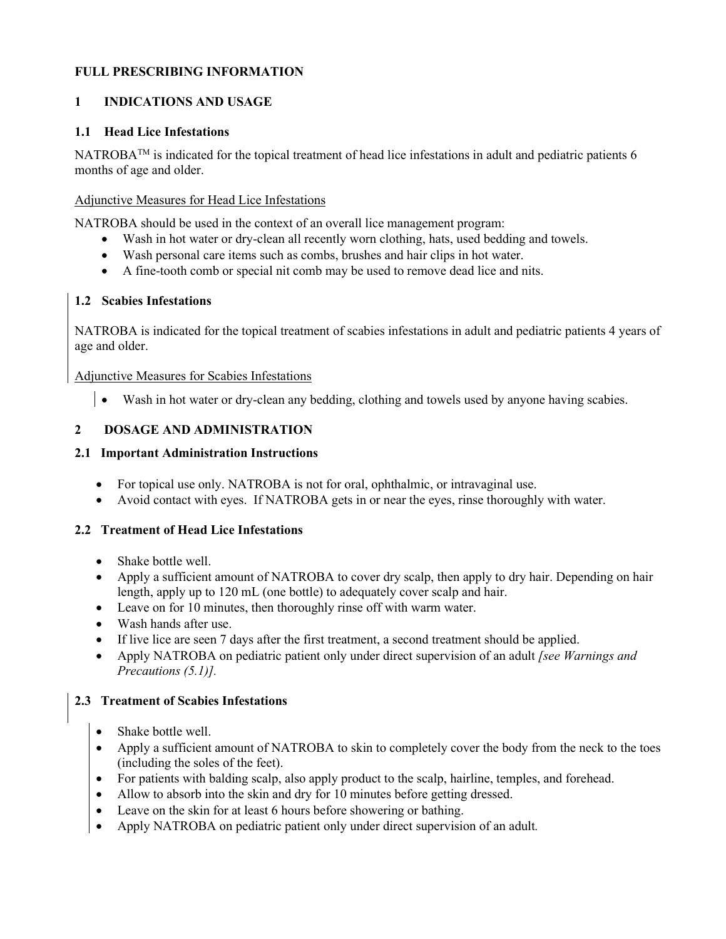# **FULL PRESCRIBING INFORMATION**

# **1 INDICATIONS AND USAGE**

## **1.1 Head Lice Infestations**

NATROBA<sup>™</sup> is indicated for the topical treatment of head lice infestations in adult and pediatric patients 6 months of age and older.

## Adjunctive Measures for Head Lice Infestations

NATROBA should be used in the context of an overall lice management program:

- Wash in hot water or dry-clean all recently worn clothing, hats, used bedding and towels.
- Wash personal care items such as combs, brushes and hair clips in hot water.
- A fine-tooth comb or special nit comb may be used to remove dead lice and nits.

# **1.2 Scabies Infestations**

NATROBA is indicated for the topical treatment of scabies infestations in adult and pediatric patients 4 years of age and older.

Adjunctive Measures for Scabies Infestations

• Wash in hot water or dry-clean any bedding, clothing and towels used by anyone having scabies.

# **2 DOSAGE AND ADMINISTRATION**

# **2.1 Important Administration Instructions**

- For topical use only. NATROBA is not for oral, ophthalmic, or intravaginal use.
- Avoid contact with eyes. If NATROBA gets in or near the eyes, rinse thoroughly with water.

### **2.2 Treatment of Head Lice Infestations**

- Shake bottle well.
- Apply a sufficient amount of NATROBA to cover dry scalp, then apply to dry hair. Depending on hair length, apply up to 120 mL (one bottle) to adequately cover scalp and hair.
- Leave on for 10 minutes, then thoroughly rinse off with warm water.
- Wash hands after use.
- If live lice are seen 7 days after the first treatment, a second treatment should be applied.
- Apply NATROBA on pediatric patient only under direct supervision of an adult *[see Warnings and Precautions (5.1)].*

# **2.3 Treatment of Scabies Infestations**

- Shake bottle well.
- Apply a sufficient amount of NATROBA to skin to completely cover the body from the neck to the toes (including the soles of the feet).
- For patients with balding scalp, also apply product to the scalp, hairline, temples, and forehead.
- Allow to absorb into the skin and dry for 10 minutes before getting dressed.
- Leave on the skin for at least 6 hours before showering or bathing.
- Apply NATROBA on pediatric patient only under direct supervision of an adult*.*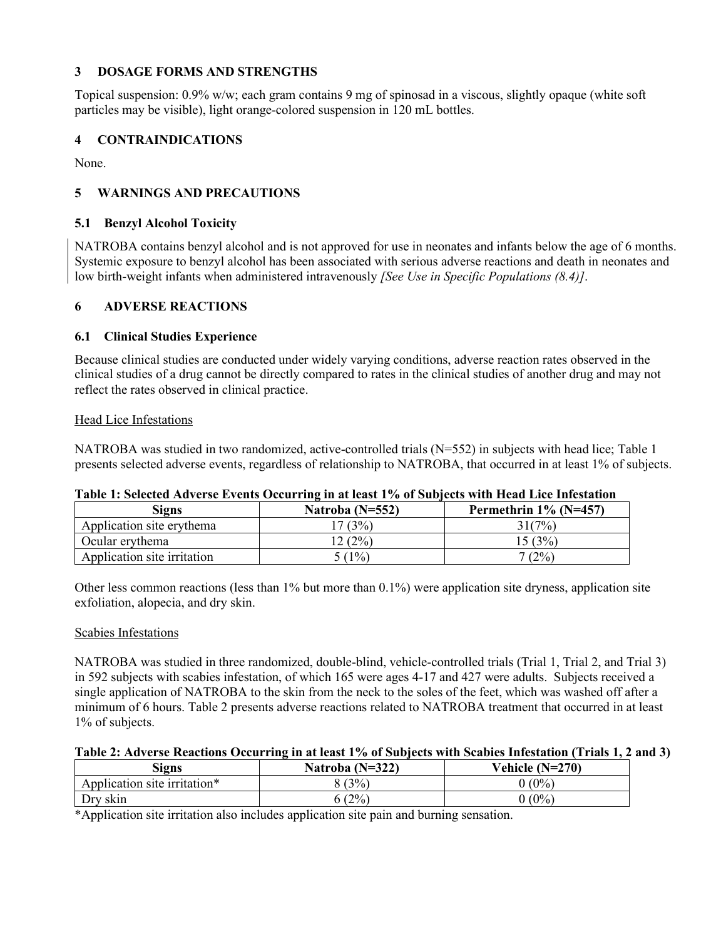# **3 DOSAGE FORMS AND STRENGTHS**

Topical suspension: 0.9% w/w; each gram contains 9 mg of spinosad in a viscous, slightly opaque (white soft particles may be visible), light orange-colored suspension in 120 mL bottles.

## **4 CONTRAINDICATIONS**

None.

# **5 WARNINGS AND PRECAUTIONS**

### **5.1 Benzyl Alcohol Toxicity**

NATROBA contains benzyl alcohol and is not approved for use in neonates and infants below the age of 6 months. Systemic exposure to benzyl alcohol has been associated with serious adverse reactions and death in neonates and low birth-weight infants when administered intravenously *[See Use in Specific Populations (8.4)]*.

### **6 ADVERSE REACTIONS**

### **6.1 Clinical Studies Experience**

Because clinical studies are conducted under widely varying conditions, adverse reaction rates observed in the clinical studies of a drug cannot be directly compared to rates in the clinical studies of another drug and may not reflect the rates observed in clinical practice.

### Head Lice Infestations

NATROBA was studied in two randomized, active-controlled trials (N=552) in subjects with head lice; Table 1 presents selected adverse events, regardless of relationship to NATROBA, that occurred in at least 1% of subjects.

| Table 1. Sciected Adverse Events Occurring in at least 170 or Subjects with fread Lite finestation |                   |                          |  |
|----------------------------------------------------------------------------------------------------|-------------------|--------------------------|--|
| Signs                                                                                              | Natroba $(N=552)$ | Permethrin $1\%$ (N=457) |  |
| Application site erythema                                                                          | 7(3%)             | 31(7%)                   |  |
| Ocular erythema                                                                                    | 2(2%)             | 15(3%)                   |  |
| Application site irritation                                                                        | 5(1%)             | $(2\%)$                  |  |

# **Table 1: Selected Adverse Events Occurring in at least 1% of Subjects with Head Lice Infestation**

Other less common reactions (less than 1% but more than 0.1%) were application site dryness, application site exfoliation, alopecia, and dry skin.

### Scabies Infestations

NATROBA was studied in three randomized, double-blind, vehicle-controlled trials (Trial 1, Trial 2, and Trial 3) in 592 subjects with scabies infestation, of which 165 were ages 4-17 and 427 were adults. Subjects received a single application of NATROBA to the skin from the neck to the soles of the feet, which was washed off after a minimum of 6 hours. Table 2 presents adverse reactions related to NATROBA treatment that occurred in at least 1% of subjects.

### **Table 2: Adverse Reactions Occurring in at least 1% of Subjects with Scabies Infestation (Trials 1, 2 and 3)**

| Signs                        | Natroba $(N=322)$ | Vehicle $(N=270)$ |
|------------------------------|-------------------|-------------------|
| Application site irritation* | (3%)              | $(0\%)$           |
| Dry skin                     | (2%               | $(0\%)$           |

\*Application site irritation also includes application site pain and burning sensation.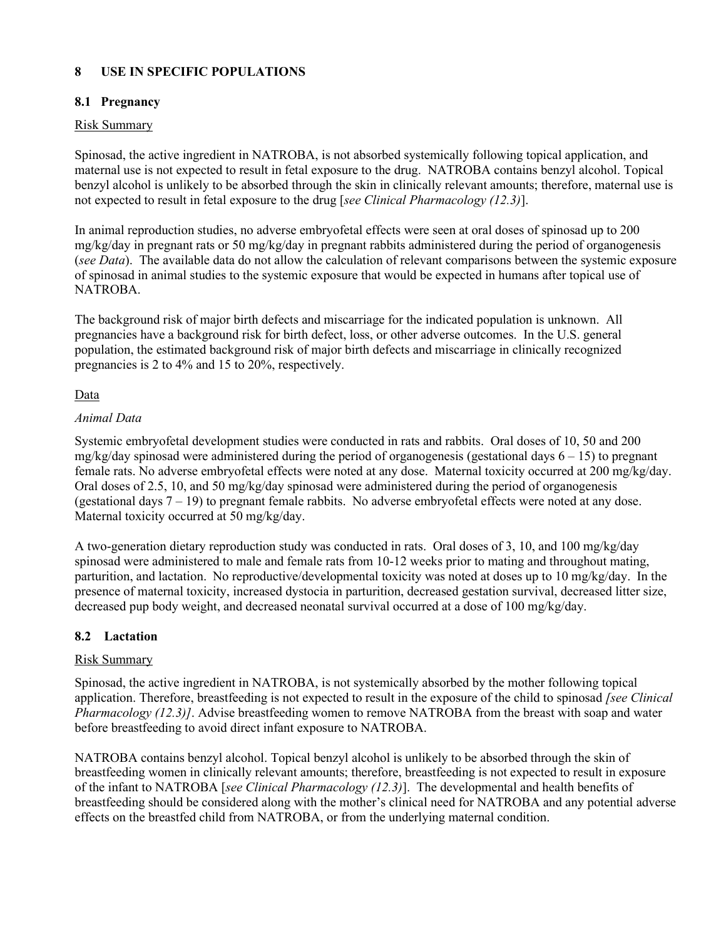# **8 USE IN SPECIFIC POPULATIONS**

# **8.1 Pregnancy**

# Risk Summary

Spinosad, the active ingredient in NATROBA, is not absorbed systemically following topical application, and maternal use is not expected to result in fetal exposure to the drug. NATROBA contains benzyl alcohol. Topical benzyl alcohol is unlikely to be absorbed through the skin in clinically relevant amounts; therefore, maternal use is not expected to result in fetal exposure to the drug [*see Clinical Pharmacology (12.3)*].

In animal reproduction studies, no adverse embryofetal effects were seen at oral doses of spinosad up to 200 mg/kg/day in pregnant rats or 50 mg/kg/day in pregnant rabbits administered during the period of organogenesis (*see Data*). The available data do not allow the calculation of relevant comparisons between the systemic exposure of spinosad in animal studies to the systemic exposure that would be expected in humans after topical use of NATROBA.

The background risk of major birth defects and miscarriage for the indicated population is unknown. All pregnancies have a background risk for birth defect, loss, or other adverse outcomes. In the U.S. general population, the estimated background risk of major birth defects and miscarriage in clinically recognized pregnancies is 2 to 4% and 15 to 20%, respectively.

# Data

# *Animal Data*

Systemic embryofetal development studies were conducted in rats and rabbits. Oral doses of 10, 50 and 200 mg/kg/day spinosad were administered during the period of organogenesis (gestational days  $6 - 15$ ) to pregnant female rats. No adverse embryofetal effects were noted at any dose. Maternal toxicity occurred at 200 mg/kg/day. Oral doses of 2.5, 10, and 50 mg/kg/day spinosad were administered during the period of organogenesis (gestational days  $7 - 19$ ) to pregnant female rabbits. No adverse embry of etal effects were noted at any dose. Maternal toxicity occurred at 50 mg/kg/day.

A two-generation dietary reproduction study was conducted in rats. Oral doses of 3, 10, and 100 mg/kg/day spinosad were administered to male and female rats from 10-12 weeks prior to mating and throughout mating, parturition, and lactation. No reproductive/developmental toxicity was noted at doses up to 10 mg/kg/day. In the presence of maternal toxicity, increased dystocia in parturition, decreased gestation survival, decreased litter size, decreased pup body weight, and decreased neonatal survival occurred at a dose of 100 mg/kg/day.

# **8.2 Lactation**

# Risk Summary

Spinosad, the active ingredient in NATROBA, is not systemically absorbed by the mother following topical application. Therefore, breastfeeding is not expected to result in the exposure of the child to spinosad *[see Clinical Pharmacology (12.3)]*. Advise breastfeeding women to remove NATROBA from the breast with soap and water before breastfeeding to avoid direct infant exposure to NATROBA.

NATROBA contains benzyl alcohol. Topical benzyl alcohol is unlikely to be absorbed through the skin of breastfeeding women in clinically relevant amounts; therefore, breastfeeding is not expected to result in exposure of the infant to NATROBA [*see Clinical Pharmacology (12.3)*]. The developmental and health benefits of breastfeeding should be considered along with the mother's clinical need for NATROBA and any potential adverse effects on the breastfed child from NATROBA, or from the underlying maternal condition.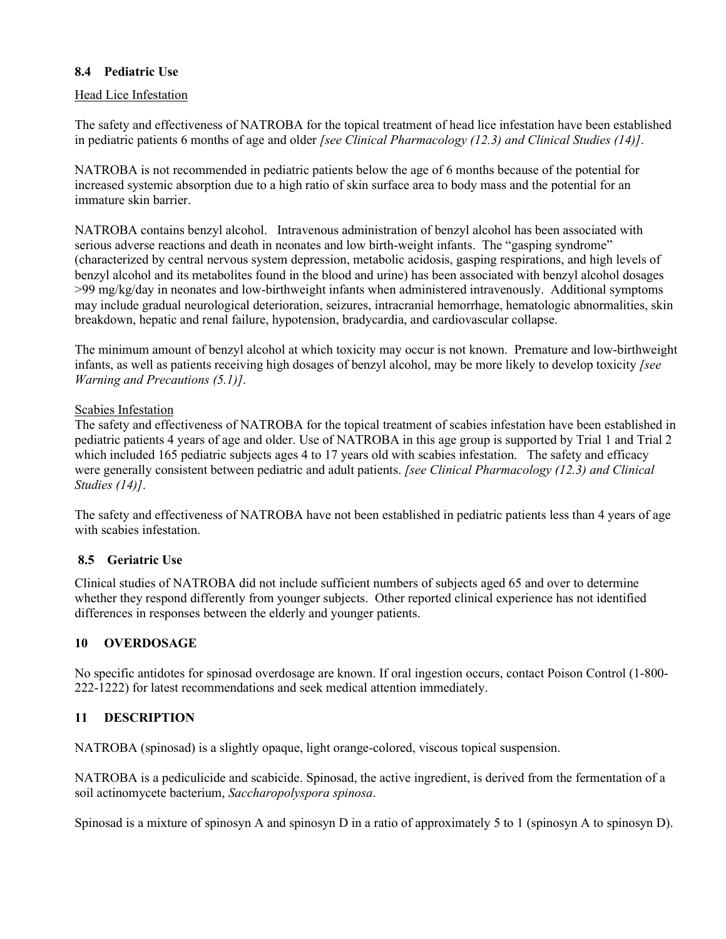# **8.4 Pediatric Use**

# Head Lice Infestation

The safety and effectiveness of NATROBA for the topical treatment of head lice infestation have been established in pediatric patients 6 months of age and older *[see Clinical Pharmacology (12.3) and Clinical Studies (14)]*.

NATROBA is not recommended in pediatric patients below the age of 6 months because of the potential for increased systemic absorption due to a high ratio of skin surface area to body mass and the potential for an immature skin barrier.

NATROBA contains benzyl alcohol. Intravenous administration of benzyl alcohol has been associated with serious adverse reactions and death in neonates and low birth-weight infants. The "gasping syndrome" (characterized by central nervous system depression, metabolic acidosis, gasping respirations, and high levels of benzyl alcohol and its metabolites found in the blood and urine) has been associated with benzyl alcohol dosages >99 mg/kg/day in neonates and low-birthweight infants when administered intravenously. Additional symptoms may include gradual neurological deterioration, seizures, intracranial hemorrhage, hematologic abnormalities, skin breakdown, hepatic and renal failure, hypotension, bradycardia, and cardiovascular collapse.

The minimum amount of benzyl alcohol at which toxicity may occur is not known. Premature and low-birthweight infants, as well as patients receiving high dosages of benzyl alcohol, may be more likely to develop toxicity *[see Warning and Precautions (5.1)]*.

# Scabies Infestation

The safety and effectiveness of NATROBA for the topical treatment of scabies infestation have been established in pediatric patients 4 years of age and older. Use of NATROBA in this age group is supported by Trial 1 and Trial 2 which included 165 pediatric subjects ages 4 to 17 years old with scabies infestation. The safety and efficacy were generally consistent between pediatric and adult patients. *[see Clinical Pharmacology (12.3) and Clinical Studies (14)]*.

The safety and effectiveness of NATROBA have not been established in pediatric patients less than 4 years of age with scabies infestation.

# **8.5 Geriatric Use**

Clinical studies of NATROBA did not include sufficient numbers of subjects aged 65 and over to determine whether they respond differently from younger subjects. Other reported clinical experience has not identified differences in responses between the elderly and younger patients.

# **10 OVERDOSAGE**

No specific antidotes for spinosad overdosage are known. If oral ingestion occurs, contact Poison Control (1-800- 222-1222) for latest recommendations and seek medical attention immediately.

# **11 DESCRIPTION**

NATROBA (spinosad) is a slightly opaque, light orange-colored, viscous topical suspension.

NATROBA is a pediculicide and scabicide. Spinosad, the active ingredient, is derived from the fermentation of a soil actinomycete bacterium, *Saccharopolyspora spinosa*.

Spinosad is a mixture of spinosyn A and spinosyn D in a ratio of approximately 5 to 1 (spinosyn A to spinosyn D).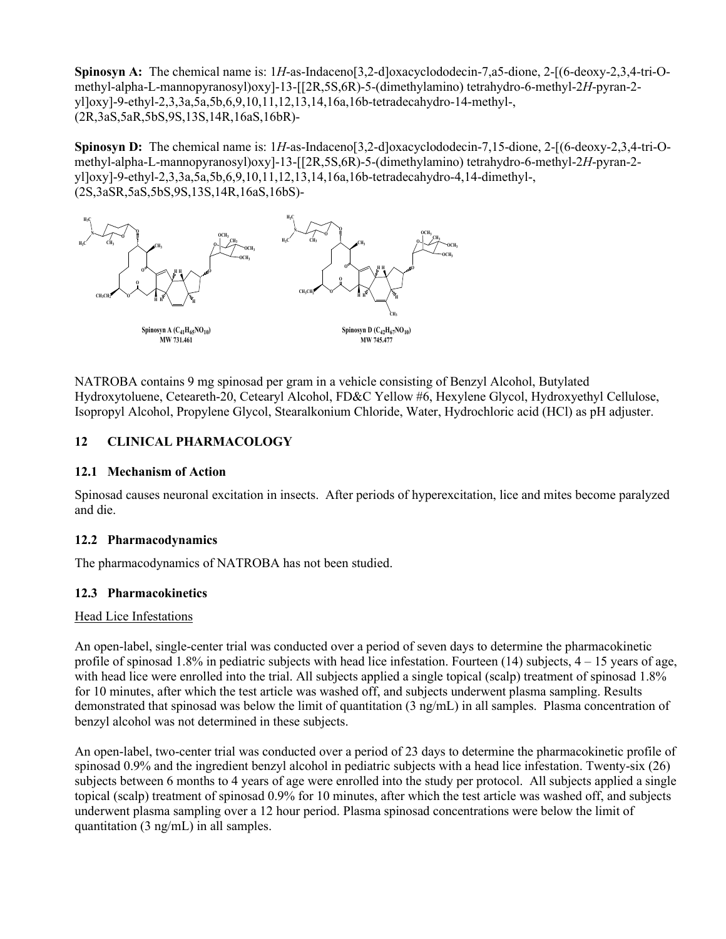**Spinosyn A:** The chemical name is: 1*H*-as-Indaceno[3,2-d]oxacyclododecin-7,a5-dione, 2-[(6-deoxy-2,3,4-tri-Omethyl-alpha-L-mannopyranosyl)oxy]-13-[[2R,5S,6R)-5-(dimethylamino) tetrahydro-6-methyl-2*H*-pyran-2 yl]oxy]-9-ethyl-2,3,3a,5a,5b,6,9,10,11,12,13,14,16a,16b-tetradecahydro-14-methyl-, (2R,3aS,5aR,5bS,9S,13S,14R,16aS,16bR)-

**Spinosyn D:** The chemical name is: 1*H*-as-Indaceno[3,2-d]oxacyclododecin-7,15-dione, 2-[(6-deoxy-2,3,4-tri-Omethyl-alpha-L-mannopyranosyl)oxy]-13-[[2R,5S,6R)-5-(dimethylamino) tetrahydro-6-methyl-2*H*-pyran-2 yl]oxy]-9-ethyl-2,3,3a,5a,5b,6,9,10,11,12,13,14,16a,16b-tetradecahydro-4,14-dimethyl-, (2S,3aSR,5aS,5bS,9S,13S,14R,16aS,16bS)-



NATROBA contains 9 mg spinosad per gram in a vehicle consisting of Benzyl Alcohol, Butylated Hydroxytoluene, Ceteareth-20, Cetearyl Alcohol, FD&C Yellow #6, Hexylene Glycol, Hydroxyethyl Cellulose, Isopropyl Alcohol, Propylene Glycol, Stearalkonium Chloride, Water, Hydrochloric acid (HCl) as pH adjuster.

# **12 CLINICAL PHARMACOLOGY**

### **12.1 Mechanism of Action**

Spinosad causes neuronal excitation in insects. After periods of hyperexcitation, lice and mites become paralyzed and die.

### **12.2 Pharmacodynamics**

The pharmacodynamics of NATROBA has not been studied.

### **12.3 Pharmacokinetics**

### Head Lice Infestations

An open-label, single-center trial was conducted over a period of seven days to determine the pharmacokinetic profile of spinosad 1.8% in pediatric subjects with head lice infestation. Fourteen (14) subjects,  $4-15$  years of age, with head lice were enrolled into the trial. All subjects applied a single topical (scalp) treatment of spinosad 1.8% for 10 minutes, after which the test article was washed off, and subjects underwent plasma sampling. Results demonstrated that spinosad was below the limit of quantitation (3 ng/mL) in all samples. Plasma concentration of benzyl alcohol was not determined in these subjects.

An open-label, two-center trial was conducted over a period of 23 days to determine the pharmacokinetic profile of spinosad 0.9% and the ingredient benzyl alcohol in pediatric subjects with a head lice infestation. Twenty-six (26) subjects between 6 months to 4 years of age were enrolled into the study per protocol. All subjects applied a single topical (scalp) treatment of spinosad 0.9% for 10 minutes, after which the test article was washed off, and subjects underwent plasma sampling over a 12 hour period. Plasma spinosad concentrations were below the limit of quantitation (3 ng/mL) in all samples.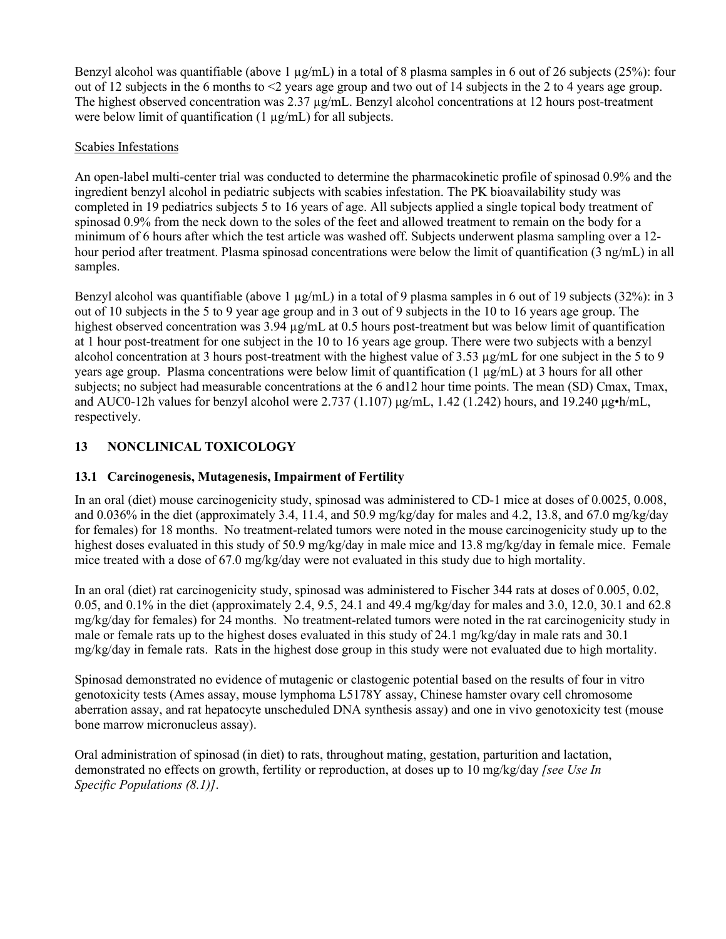Benzyl alcohol was quantifiable (above 1  $\mu$ g/mL) in a total of 8 plasma samples in 6 out of 26 subjects (25%): four out of 12 subjects in the 6 months to <2 years age group and two out of 14 subjects in the 2 to 4 years age group. The highest observed concentration was 2.37  $\mu$ g/mL. Benzyl alcohol concentrations at 12 hours post-treatment were below limit of quantification (1 µg/mL) for all subjects.

# Scabies Infestations

An open-label multi-center trial was conducted to determine the pharmacokinetic profile of spinosad 0.9% and the ingredient benzyl alcohol in pediatric subjects with scabies infestation. The PK bioavailability study was completed in 19 pediatrics subjects 5 to 16 years of age. All subjects applied a single topical body treatment of spinosad 0.9% from the neck down to the soles of the feet and allowed treatment to remain on the body for a minimum of 6 hours after which the test article was washed off. Subjects underwent plasma sampling over a 12 hour period after treatment. Plasma spinosad concentrations were below the limit of quantification (3 ng/mL) in all samples.

Benzyl alcohol was quantifiable (above 1  $\mu$ g/mL) in a total of 9 plasma samples in 6 out of 19 subjects (32%): in 3 out of 10 subjects in the 5 to 9 year age group and in 3 out of 9 subjects in the 10 to 16 years age group. The highest observed concentration was 3.94  $\mu$ g/mL at 0.5 hours post-treatment but was below limit of quantification at 1 hour post-treatment for one subject in the 10 to 16 years age group. There were two subjects with a benzyl alcohol concentration at 3 hours post-treatment with the highest value of  $3.53 \mu g/mL$  for one subject in the 5 to 9 years age group. Plasma concentrations were below limit of quantification  $(1 \mu g/mL)$  at 3 hours for all other subjects; no subject had measurable concentrations at the 6 and12 hour time points. The mean (SD) Cmax, Tmax, and AUC0-12h values for benzyl alcohol were 2.737 (1.107)  $\mu$ g/mL, 1.42 (1.242) hours, and 19.240  $\mu$ g•h/mL, respectively.

# **13 NONCLINICAL TOXICOLOGY**

# **13.1 Carcinogenesis, Mutagenesis, Impairment of Fertility**

In an oral (diet) mouse carcinogenicity study, spinosad was administered to CD-1 mice at doses of 0.0025, 0.008, and 0.036% in the diet (approximately 3.4, 11.4, and 50.9 mg/kg/day for males and 4.2, 13.8, and 67.0 mg/kg/day for females) for 18 months. No treatment-related tumors were noted in the mouse carcinogenicity study up to the highest doses evaluated in this study of 50.9 mg/kg/day in male mice and 13.8 mg/kg/day in female mice. Female mice treated with a dose of 67.0 mg/kg/day were not evaluated in this study due to high mortality.

In an oral (diet) rat carcinogenicity study, spinosad was administered to Fischer 344 rats at doses of 0.005, 0.02, 0.05, and 0.1% in the diet (approximately 2.4, 9.5, 24.1 and 49.4 mg/kg/day for males and 3.0, 12.0, 30.1 and 62.8 mg/kg/day for females) for 24 months. No treatment-related tumors were noted in the rat carcinogenicity study in male or female rats up to the highest doses evaluated in this study of 24.1 mg/kg/day in male rats and 30.1 mg/kg/day in female rats. Rats in the highest dose group in this study were not evaluated due to high mortality.

Spinosad demonstrated no evidence of mutagenic or clastogenic potential based on the results of four in vitro genotoxicity tests (Ames assay, mouse lymphoma L5178Y assay, Chinese hamster ovary cell chromosome aberration assay, and rat hepatocyte unscheduled DNA synthesis assay) and one in vivo genotoxicity test (mouse bone marrow micronucleus assay).

Oral administration of spinosad (in diet) to rats, throughout mating, gestation, parturition and lactation, demonstrated no effects on growth, fertility or reproduction, at doses up to 10 mg/kg/day *[see Use In Specific Populations (8.1)]*.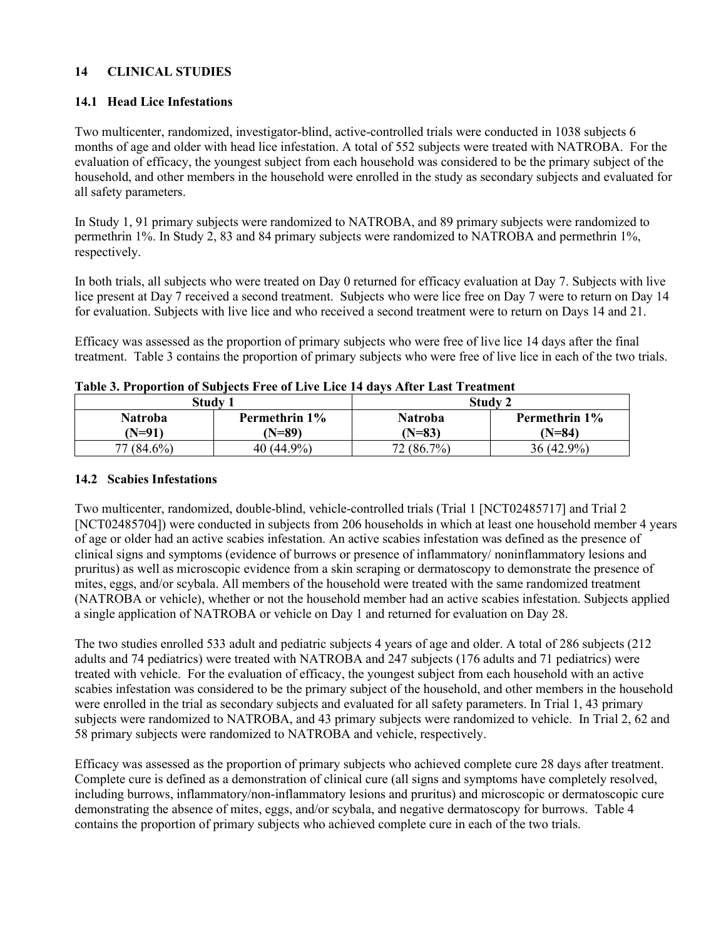# **14 CLINICAL STUDIES**

# **14.1 Head Lice Infestations**

Two multicenter, randomized, investigator-blind, active-controlled trials were conducted in 1038 subjects 6 months of age and older with head lice infestation. A total of 552 subjects were treated with NATROBA. For the evaluation of efficacy, the youngest subject from each household was considered to be the primary subject of the household, and other members in the household were enrolled in the study as secondary subjects and evaluated for all safety parameters.

In Study 1, 91 primary subjects were randomized to NATROBA, and 89 primary subjects were randomized to permethrin 1%. In Study 2, 83 and 84 primary subjects were randomized to NATROBA and permethrin 1%, respectively.

In both trials, all subjects who were treated on Day 0 returned for efficacy evaluation at Day 7. Subjects with live lice present at Day 7 received a second treatment. Subjects who were lice free on Day 7 were to return on Day 14 for evaluation. Subjects with live lice and who received a second treatment were to return on Days 14 and 21.

Efficacy was assessed as the proportion of primary subjects who were free of live lice 14 days after the final treatment. Table 3 contains the proportion of primary subjects who were free of live lice in each of the two trials.

| Study 1    |  | Study 2       |  |                |                  |
|------------|--|---------------|--|----------------|------------------|
| Natroba    |  | Permethrin 1% |  | <b>Natroba</b> | Permethrin 1%    |
| $N=91$     |  | (N=89)        |  | $N=83$         | (N=84)           |
| 77 (84.6%) |  | 40 $(44.9\%)$ |  | 2(86.7%)       | $.9\%$<br>36(42) |

### **Table 3. Proportion of Subjects Free of Live Lice 14 days After Last Treatment**

### **14.2 Scabies Infestations**

Two multicenter, randomized, double-blind, vehicle-controlled trials (Trial 1 [NCT02485717] and Trial 2 [NCT02485704]) were conducted in subjects from 206 households in which at least one household member 4 years of age or older had an active scabies infestation. An active scabies infestation was defined as the presence of clinical signs and symptoms (evidence of burrows or presence of inflammatory/ noninflammatory lesions and pruritus) as well as microscopic evidence from a skin scraping or dermatoscopy to demonstrate the presence of mites, eggs, and/or scybala. All members of the household were treated with the same randomized treatment (NATROBA or vehicle), whether or not the household member had an active scabies infestation. Subjects applied a single application of NATROBA or vehicle on Day 1 and returned for evaluation on Day 28.

The two studies enrolled 533 adult and pediatric subjects 4 years of age and older. A total of 286 subjects (212 adults and 74 pediatrics) were treated with NATROBA and 247 subjects (176 adults and 71 pediatrics) were treated with vehicle. For the evaluation of efficacy, the youngest subject from each household with an active scabies infestation was considered to be the primary subject of the household, and other members in the household were enrolled in the trial as secondary subjects and evaluated for all safety parameters. In Trial 1, 43 primary subjects were randomized to NATROBA, and 43 primary subjects were randomized to vehicle. In Trial 2, 62 and 58 primary subjects were randomized to NATROBA and vehicle, respectively.

Efficacy was assessed as the proportion of primary subjects who achieved complete cure 28 days after treatment. Complete cure is defined as a demonstration of clinical cure (all signs and symptoms have completely resolved, including burrows, inflammatory/non-inflammatory lesions and pruritus) and microscopic or dermatoscopic cure demonstrating the absence of mites, eggs, and/or scybala, and negative dermatoscopy for burrows. Table 4 contains the proportion of primary subjects who achieved complete cure in each of the two trials.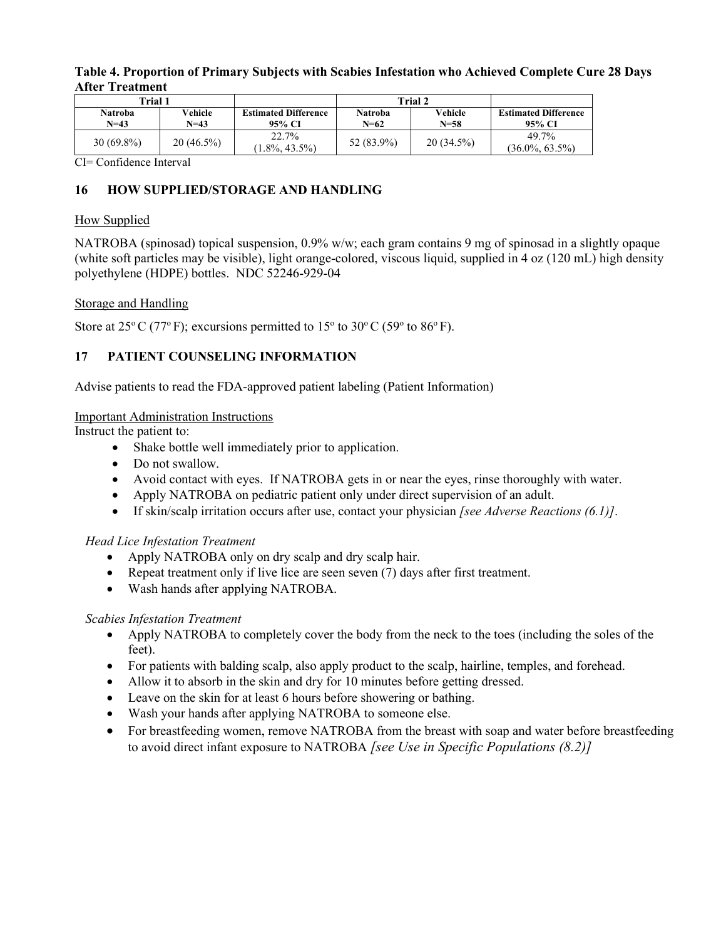| Trial 1 |                            |                     | Trial 2                               |                            |                     |                                       |
|---------|----------------------------|---------------------|---------------------------------------|----------------------------|---------------------|---------------------------------------|
|         | <b>Natroba</b><br>$N = 43$ | Vehicle<br>$N = 43$ | <b>Estimated Difference</b><br>95% CI | <b>Natroba</b><br>$N = 62$ | Vehicle<br>$N = 58$ | <b>Estimated Difference</b><br>95% CI |
|         | $30(69.8\%)$               | $20(46.5\%)$        | 22.7%<br>$1.8\%, 43.5\%)$             | 52 (83.9%)                 | $20(34.5\%)$        | 49.7%<br>$(36.0\%, 63.5\%)$           |

### **Table 4. Proportion of Primary Subjects with Scabies Infestation who Achieved Complete Cure 28 Days After Treatment**

CI= Confidence Interval

# **16 HOW SUPPLIED/STORAGE AND HANDLING**

# How Supplied

NATROBA (spinosad) topical suspension, 0.9% w/w; each gram contains 9 mg of spinosad in a slightly opaque (white soft particles may be visible), light orange-colored, viscous liquid, supplied in 4 oz (120 mL) high density polyethylene (HDPE) bottles. NDC 52246-929-04

# Storage and Handling

Store at  $25^{\circ}$  C (77°F); excursions permitted to 15° to 30°C (59° to 86°F).

# **17 PATIENT COUNSELING INFORMATION**

Advise patients to read the FDA-approved patient labeling (Patient Information)

# Important Administration Instructions

Instruct the patient to:

- Shake bottle well immediately prior to application.
- Do not swallow.
- Avoid contact with eyes. If NATROBA gets in or near the eyes, rinse thoroughly with water.
- Apply NATROBA on pediatric patient only under direct supervision of an adult.
- If skin/scalp irritation occurs after use, contact your physician *[see Adverse Reactions (6.1)]*.

# *Head Lice Infestation Treatment*

- Apply NATROBA only on dry scalp and dry scalp hair.
- Repeat treatment only if live lice are seen seven (7) days after first treatment.
- Wash hands after applying NATROBA.

# *Scabies Infestation Treatment*

- Apply NATROBA to completely cover the body from the neck to the toes (including the soles of the feet).
- For patients with balding scalp, also apply product to the scalp, hairline, temples, and forehead.
- Allow it to absorb in the skin and dry for 10 minutes before getting dressed.
- Leave on the skin for at least 6 hours before showering or bathing.
- Wash your hands after applying NATROBA to someone else.
- For breastfeeding women, remove NATROBA from the breast with soap and water before breastfeeding to avoid direct infant exposure to NATROBA *[see Use in Specific Populations (8.2)]*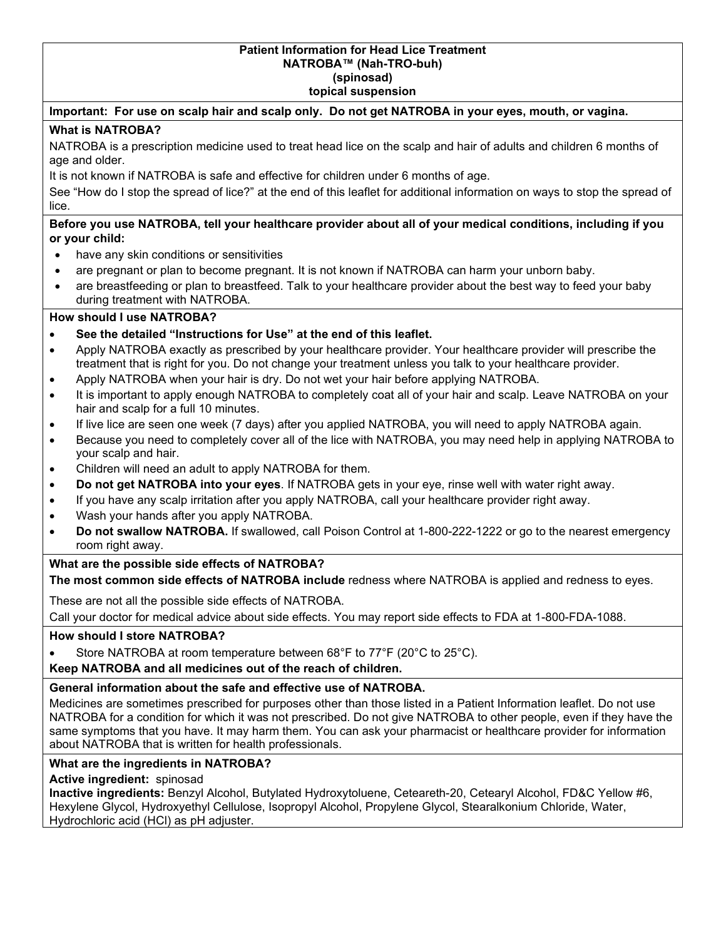#### **Patient Information for Head Lice Treatment NATROBA™ (Nah-TRO-buh) (spinosad)**

**topical suspension**

### **Important: For use on scalp hair and scalp only. Do not get NATROBA in your eyes, mouth, or vagina.**

### **What is NATROBA?**

NATROBA is a prescription medicine used to treat head lice on the scalp and hair of adults and children 6 months of age and older.

It is not known if NATROBA is safe and effective for children under 6 months of age.

See "How do I stop the spread of lice?" at the end of this leaflet for additional information on ways to stop the spread of lice.

### **Before you use NATROBA, tell your healthcare provider about all of your medical conditions, including if you or your child:**

- have any skin conditions or sensitivities
- are pregnant or plan to become pregnant. It is not known if NATROBA can harm your unborn baby.
- are breastfeeding or plan to breastfeed. Talk to your healthcare provider about the best way to feed your baby during treatment with NATROBA.

### **How should I use NATROBA?**

- **See the detailed "Instructions for Use" at the end of this leaflet.**
- Apply NATROBA exactly as prescribed by your healthcare provider. Your healthcare provider will prescribe the treatment that is right for you. Do not change your treatment unless you talk to your healthcare provider.
- Apply NATROBA when your hair is dry. Do not wet your hair before applying NATROBA.
- It is important to apply enough NATROBA to completely coat all of your hair and scalp. Leave NATROBA on your hair and scalp for a full 10 minutes.
- If live lice are seen one week (7 days) after you applied NATROBA, you will need to apply NATROBA again.
- Because you need to completely cover all of the lice with NATROBA, you may need help in applying NATROBA to your scalp and hair.
- Children will need an adult to apply NATROBA for them.
- **Do not get NATROBA into your eyes**. If NATROBA gets in your eye, rinse well with water right away.
- If you have any scalp irritation after you apply NATROBA, call your healthcare provider right away.
- Wash your hands after you apply NATROBA.
- **Do not swallow NATROBA.** If swallowed, call Poison Control at 1-800-222-1222 or go to the nearest emergency room right away.

### **What are the possible side effects of NATROBA?**

**The most common side effects of NATROBA include** redness where NATROBA is applied and redness to eyes.

These are not all the possible side effects of NATROBA.

Call your doctor for medical advice about side effects. You may report side effects to FDA at 1-800-FDA-1088.

### **How should I store NATROBA?**

• Store NATROBA at room temperature between 68°F to 77°F (20°C to 25°C).

**Keep NATROBA and all medicines out of the reach of children.**

### **General information about the safe and effective use of NATROBA.**

Medicines are sometimes prescribed for purposes other than those listed in a Patient Information leaflet. Do not use NATROBA for a condition for which it was not prescribed. Do not give NATROBA to other people, even if they have the same symptoms that you have. It may harm them. You can ask your pharmacist or healthcare provider for information about NATROBA that is written for health professionals.

### **What are the ingredients in NATROBA?**

**Active ingredient:** spinosad

**Inactive ingredients:** Benzyl Alcohol, Butylated Hydroxytoluene, Ceteareth-20, Cetearyl Alcohol, FD&C Yellow #6, Hexylene Glycol, Hydroxyethyl Cellulose, Isopropyl Alcohol, Propylene Glycol, Stearalkonium Chloride, Water, Hydrochloric acid (HCl) as pH adjuster.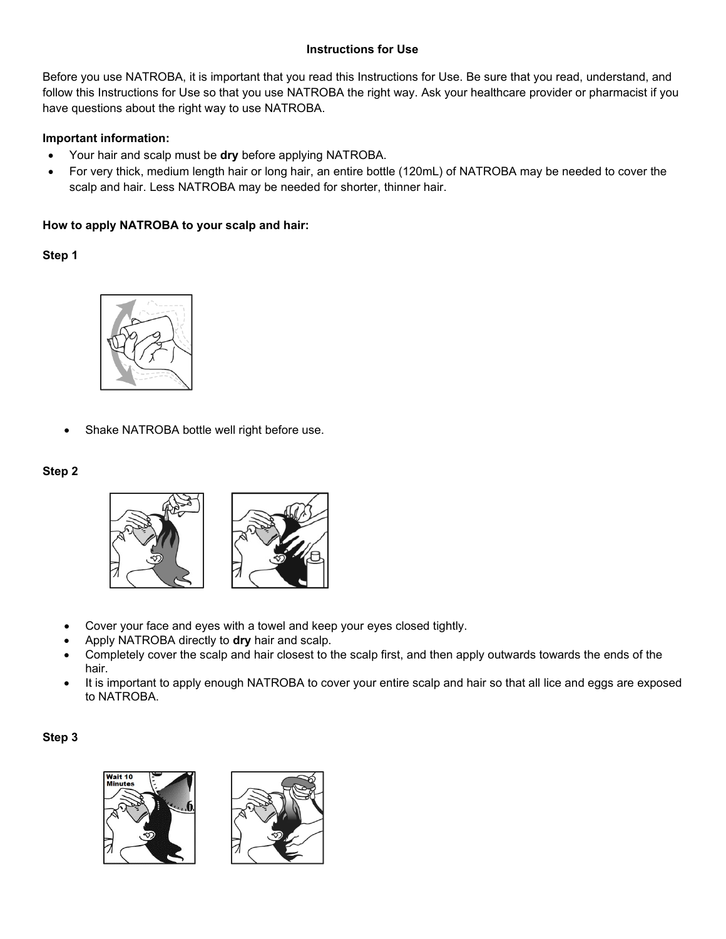## **Instructions for Use**

Before you use NATROBA, it is important that you read this Instructions for Use. Be sure that you read, understand, and follow this Instructions for Use so that you use NATROBA the right way. Ask your healthcare provider or pharmacist if you have questions about the right way to use NATROBA.

### **Important information:**

- Your hair and scalp must be **dry** before applying NATROBA.
- For very thick, medium length hair or long hair, an entire bottle (120mL) of NATROBA may be needed to cover the scalp and hair. Less NATROBA may be needed for shorter, thinner hair.

# **How to apply NATROBA to your scalp and hair:**

**Step 1**



Shake NATROBA bottle well right before use.

## **Step 2**



- Cover your face and eyes with a towel and keep your eyes closed tightly.
- Apply NATROBA directly to **dry** hair and scalp.
- Completely cover the scalp and hair closest to the scalp first, and then apply outwards towards the ends of the hair.
- It is important to apply enough NATROBA to cover your entire scalp and hair so that all lice and eggs are exposed to NATROBA.

### **Step 3**

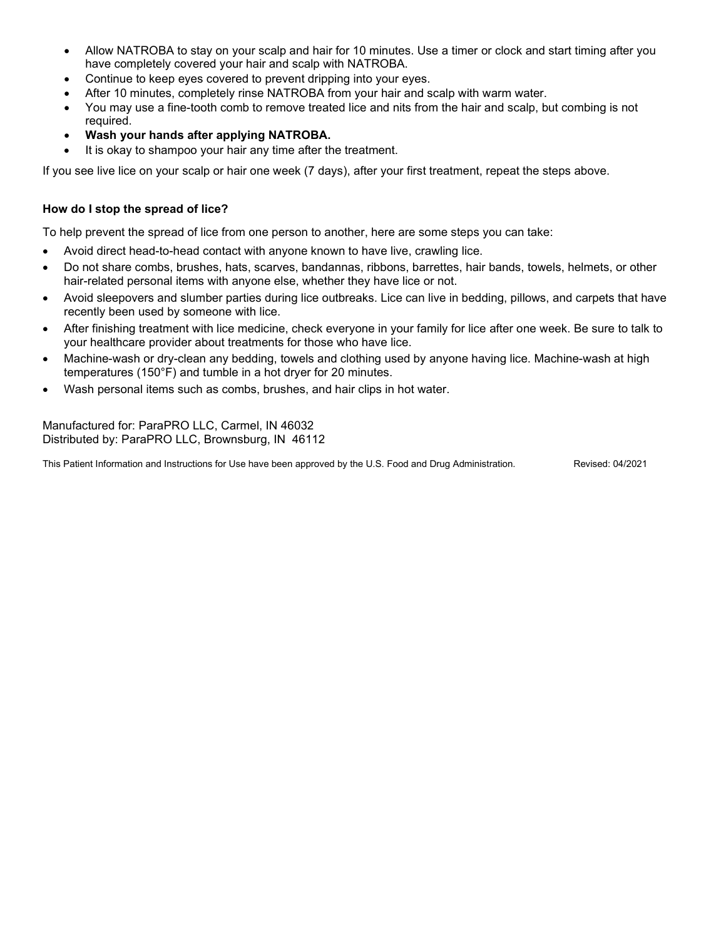- Allow NATROBA to stay on your scalp and hair for 10 minutes. Use a timer or clock and start timing after you have completely covered your hair and scalp with NATROBA.
- Continue to keep eyes covered to prevent dripping into your eyes.
- After 10 minutes, completely rinse NATROBA from your hair and scalp with warm water.
- You may use a fine-tooth comb to remove treated lice and nits from the hair and scalp, but combing is not required.
- **Wash your hands after applying NATROBA.**
- It is okay to shampoo your hair any time after the treatment.

If you see live lice on your scalp or hair one week (7 days), after your first treatment, repeat the steps above.

## **How do I stop the spread of lice?**

To help prevent the spread of lice from one person to another, here are some steps you can take:

- Avoid direct head-to-head contact with anyone known to have live, crawling lice.
- Do not share combs, brushes, hats, scarves, bandannas, ribbons, barrettes, hair bands, towels, helmets, or other hair-related personal items with anyone else, whether they have lice or not.
- Avoid sleepovers and slumber parties during lice outbreaks. Lice can live in bedding, pillows, and carpets that have recently been used by someone with lice.
- After finishing treatment with lice medicine, check everyone in your family for lice after one week. Be sure to talk to your healthcare provider about treatments for those who have lice.
- Machine-wash or dry-clean any bedding, towels and clothing used by anyone having lice. Machine-wash at high temperatures (150°F) and tumble in a hot dryer for 20 minutes.
- Wash personal items such as combs, brushes, and hair clips in hot water.

Manufactured for: ParaPRO LLC, Carmel, IN 46032 Distributed by: ParaPRO LLC, Brownsburg, IN 46112

This Patient Information and Instructions for Use have been approved by the U.S. Food and Drug Administration. Revised: 04/2021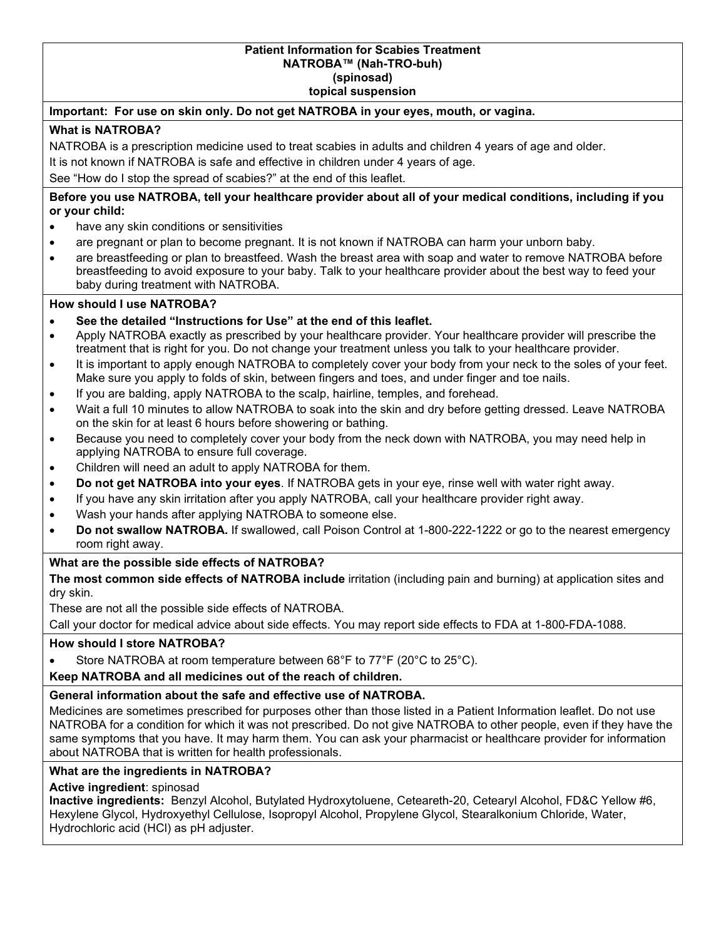# **Patient Information for Scabies Treatment NATROBA™ (Nah-TRO-buh) (spinosad)**

**topical suspension**

### **Important: For use on skin only. Do not get NATROBA in your eyes, mouth, or vagina.**

### **What is NATROBA?**

NATROBA is a prescription medicine used to treat scabies in adults and children 4 years of age and older.

It is not known if NATROBA is safe and effective in children under 4 years of age.

See "How do I stop the spread of scabies?" at the end of this leaflet.

**Before you use NATROBA, tell your healthcare provider about all of your medical conditions, including if you or your child:**

- have any skin conditions or sensitivities
- are pregnant or plan to become pregnant. It is not known if NATROBA can harm your unborn baby.
- are breastfeeding or plan to breastfeed. Wash the breast area with soap and water to remove NATROBA before breastfeeding to avoid exposure to your baby. Talk to your healthcare provider about the best way to feed your baby during treatment with NATROBA.

### **How should I use NATROBA?**

- **See the detailed "Instructions for Use" at the end of this leaflet.**
- Apply NATROBA exactly as prescribed by your healthcare provider. Your healthcare provider will prescribe the treatment that is right for you. Do not change your treatment unless you talk to your healthcare provider.
- It is important to apply enough NATROBA to completely cover your body from your neck to the soles of your feet. Make sure you apply to folds of skin, between fingers and toes, and under finger and toe nails.
- If you are balding, apply NATROBA to the scalp, hairline, temples, and forehead.
- Wait a full 10 minutes to allow NATROBA to soak into the skin and dry before getting dressed. Leave NATROBA on the skin for at least 6 hours before showering or bathing.
- Because you need to completely cover your body from the neck down with NATROBA, you may need help in applying NATROBA to ensure full coverage.
- Children will need an adult to apply NATROBA for them.
- **Do not get NATROBA into your eyes**. If NATROBA gets in your eye, rinse well with water right away.
- If you have any skin irritation after you apply NATROBA, call your healthcare provider right away.
- Wash your hands after applying NATROBA to someone else.
- **Do not swallow NATROBA.** If swallowed, call Poison Control at 1-800-222-1222 or go to the nearest emergency room right away.

### **What are the possible side effects of NATROBA?**

**The most common side effects of NATROBA include** irritation (including pain and burning) at application sites and dry skin.

These are not all the possible side effects of NATROBA.

Call your doctor for medical advice about side effects. You may report side effects to FDA at 1-800-FDA-1088.

### **How should I store NATROBA?**

• Store NATROBA at room temperature between 68°F to 77°F (20°C to 25°C).

### **Keep NATROBA and all medicines out of the reach of children.**

### **General information about the safe and effective use of NATROBA.**

Medicines are sometimes prescribed for purposes other than those listed in a Patient Information leaflet. Do not use NATROBA for a condition for which it was not prescribed. Do not give NATROBA to other people, even if they have the same symptoms that you have. It may harm them. You can ask your pharmacist or healthcare provider for information about NATROBA that is written for health professionals.

### **What are the ingredients in NATROBA?**

**Active ingredient**: spinosad

**Inactive ingredients:** Benzyl Alcohol, Butylated Hydroxytoluene, Ceteareth-20, Cetearyl Alcohol, FD&C Yellow #6, Hexylene Glycol, Hydroxyethyl Cellulose, Isopropyl Alcohol, Propylene Glycol, Stearalkonium Chloride, Water, Hydrochloric acid (HCl) as pH adjuster.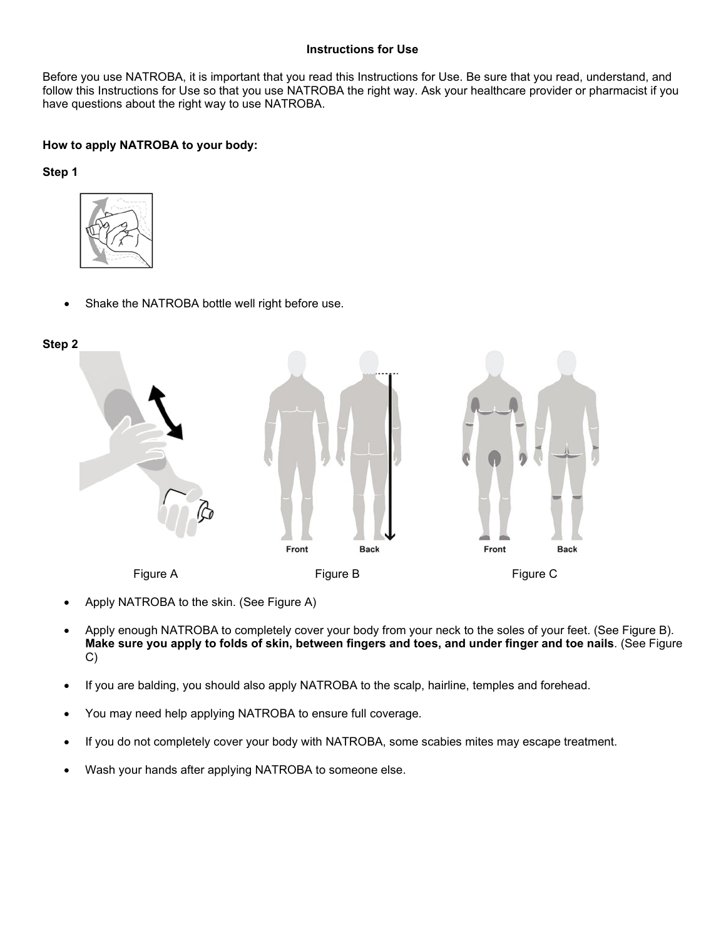### **Instructions for Use**

Before you use NATROBA, it is important that you read this Instructions for Use. Be sure that you read, understand, and follow this Instructions for Use so that you use NATROBA the right way. Ask your healthcare provider or pharmacist if you have questions about the right way to use NATROBA.

## **How to apply NATROBA to your body:**

**Step 1**



Shake the NATROBA bottle well right before use.



- Apply NATROBA to the skin. (See Figure A)
- Apply enough NATROBA to completely cover your body from your neck to the soles of your feet. (See Figure B). **Make sure you apply to folds of skin, between fingers and toes, and under finger and toe nails**. (See Figure C)
- If you are balding, you should also apply NATROBA to the scalp, hairline, temples and forehead.
- You may need help applying NATROBA to ensure full coverage.
- If you do not completely cover your body with NATROBA, some scabies mites may escape treatment.
- Wash your hands after applying NATROBA to someone else.